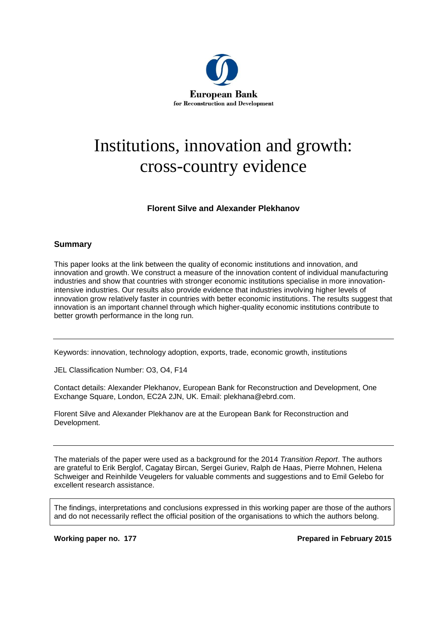

# Institutions, innovation and growth: cross-country evidence

## **Florent Silve and Alexander Plekhanov**

# **Summary**

This paper looks at the link between the quality of economic institutions and innovation, and innovation and growth. We construct a measure of the innovation content of individual manufacturing industries and show that countries with stronger economic institutions specialise in more innovationintensive industries. Our results also provide evidence that industries involving higher levels of innovation grow relatively faster in countries with better economic institutions. The results suggest that innovation is an important channel through which higher-quality economic institutions contribute to better growth performance in the long run.

Keywords: innovation, technology adoption, exports, trade, economic growth, institutions

JEL Classification Number: O3, O4, F14

Contact details: Alexander Plekhanov, European Bank for Reconstruction and Development, One Exchange Square, London, EC2A 2JN, UK. Email: plekhana@ebrd.com.

Florent Silve and Alexander Plekhanov are at the European Bank for Reconstruction and Development.

The materials of the paper were used as a background for the 2014 *Transition Report*. The authors are grateful to Erik Berglof, Cagatay Bircan, Sergei Guriev, Ralph de Haas, Pierre Mohnen, Helena Schweiger and Reinhilde Veugelers for valuable comments and suggestions and to Emil Gelebo for excellent research assistance.

The findings, interpretations and conclusions expressed in this working paper are those of the authors and do not necessarily reflect the official position of the organisations to which the authors belong.

**Working paper no. 177 Prepared in February 2015**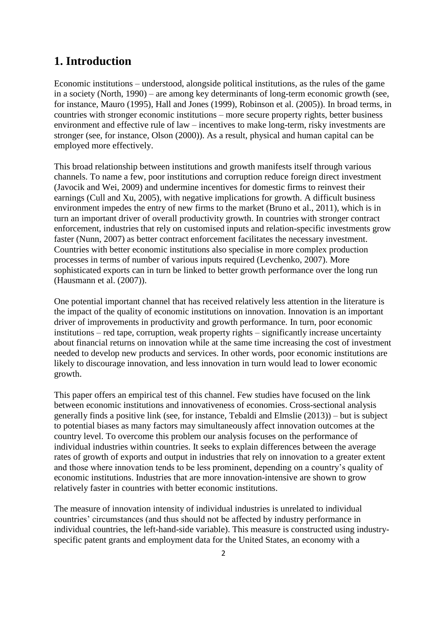# **1. Introduction**

Economic institutions – understood, alongside political institutions, as the rules of the game in a society (North, 1990) – are among key determinants of long-term economic growth (see, for instance, Mauro (1995), Hall and Jones (1999), Robinson et al. (2005)). In broad terms, in countries with stronger economic institutions – more secure property rights, better business environment and effective rule of law – incentives to make long-term, risky investments are stronger (see, for instance, Olson (2000)). As a result, physical and human capital can be employed more effectively.

This broad relationship between institutions and growth manifests itself through various channels. To name a few, poor institutions and corruption reduce foreign direct investment (Javocik and Wei, 2009) and undermine incentives for domestic firms to reinvest their earnings (Cull and Xu, 2005), with negative implications for growth. A difficult business environment impedes the entry of new firms to the market (Bruno et al., 2011), which is in turn an important driver of overall productivity growth. In countries with stronger contract enforcement, industries that rely on customised inputs and relation-specific investments grow faster (Nunn, 2007) as better contract enforcement facilitates the necessary investment. Countries with better economic institutions also specialise in more complex production processes in terms of number of various inputs required (Levchenko, 2007). More sophisticated exports can in turn be linked to better growth performance over the long run (Hausmann et al. (2007)).

One potential important channel that has received relatively less attention in the literature is the impact of the quality of economic institutions on innovation. Innovation is an important driver of improvements in productivity and growth performance. In turn, poor economic institutions – red tape, corruption, weak property rights – significantly increase uncertainty about financial returns on innovation while at the same time increasing the cost of investment needed to develop new products and services. In other words, poor economic institutions are likely to discourage innovation, and less innovation in turn would lead to lower economic growth.

This paper offers an empirical test of this channel. Few studies have focused on the link between economic institutions and innovativeness of economies. Cross-sectional analysis generally finds a positive link (see, for instance, Tebaldi and Elmslie (2013)) – but is subject to potential biases as many factors may simultaneously affect innovation outcomes at the country level. To overcome this problem our analysis focuses on the performance of individual industries within countries. It seeks to explain differences between the average rates of growth of exports and output in industries that rely on innovation to a greater extent and those where innovation tends to be less prominent, depending on a country's quality of economic institutions. Industries that are more innovation-intensive are shown to grow relatively faster in countries with better economic institutions.

The measure of innovation intensity of individual industries is unrelated to individual countries' circumstances (and thus should not be affected by industry performance in individual countries, the left-hand-side variable). This measure is constructed using industryspecific patent grants and employment data for the United States, an economy with a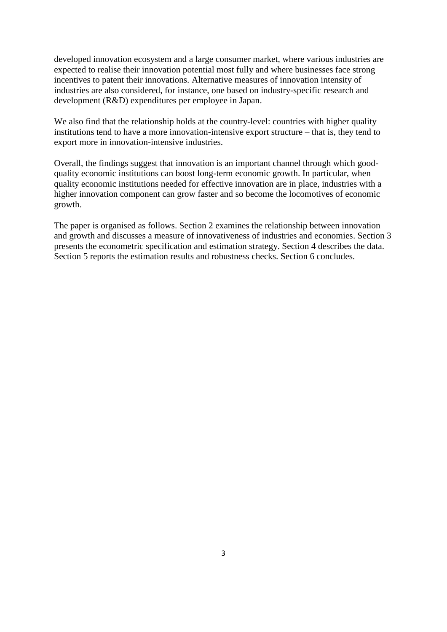developed innovation ecosystem and a large consumer market, where various industries are expected to realise their innovation potential most fully and where businesses face strong incentives to patent their innovations. Alternative measures of innovation intensity of industries are also considered, for instance, one based on industry-specific research and development (R&D) expenditures per employee in Japan.

We also find that the relationship holds at the country-level: countries with higher quality institutions tend to have a more innovation-intensive export structure – that is, they tend to export more in innovation-intensive industries.

Overall, the findings suggest that innovation is an important channel through which goodquality economic institutions can boost long-term economic growth. In particular, when quality economic institutions needed for effective innovation are in place, industries with a higher innovation component can grow faster and so become the locomotives of economic growth.

The paper is organised as follows. Section 2 examines the relationship between innovation and growth and discusses a measure of innovativeness of industries and economies. Section 3 presents the econometric specification and estimation strategy. Section 4 describes the data. Section 5 reports the estimation results and robustness checks. Section 6 concludes.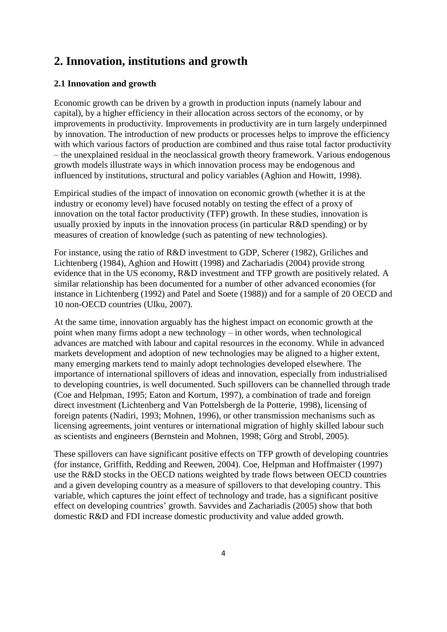# **2. Innovation, institutions and growth**

## **2.1 Innovation and growth**

Economic growth can be driven by a growth in production inputs (namely labour and capital), by a higher efficiency in their allocation across sectors of the economy, or by improvements in productivity. Improvements in productivity are in turn largely underpinned by innovation. The introduction of new products or processes helps to improve the efficiency with which various factors of production are combined and thus raise total factor productivity – the unexplained residual in the neoclassical growth theory framework. Various endogenous growth models illustrate ways in which innovation process may be endogenous and influenced by institutions, structural and policy variables (Aghion and Howitt, 1998).

Empirical studies of the impact of innovation on economic growth (whether it is at the industry or economy level) have focused notably on testing the effect of a proxy of innovation on the total factor productivity (TFP) growth. In these studies, innovation is usually proxied by inputs in the innovation process (in particular R&D spending) or by measures of creation of knowledge (such as patenting of new technologies).

For instance, using the ratio of R&D investment to GDP, Scherer (1982), Griliches and Lichtenberg (1984), Aghion and Howitt (1998) and Zachariadis (2004) provide strong evidence that in the US economy, R&D investment and TFP growth are positively related. A similar relationship has been documented for a number of other advanced economies (for instance in Lichtenberg (1992) and Patel and Soete (1988)) and for a sample of 20 OECD and 10 non-OECD countries (Ulku, 2007).

At the same time, innovation arguably has the highest impact on economic growth at the point when many firms adopt a new technology – in other words, when technological advances are matched with labour and capital resources in the economy. While in advanced markets development and adoption of new technologies may be aligned to a higher extent, many emerging markets tend to mainly adopt technologies developed elsewhere. The importance of international spillovers of ideas and innovation, especially from industrialised to developing countries, is well documented. Such spillovers can be channelled through trade (Coe and Helpman, 1995; Eaton and Kortum, 1997), a combination of trade and foreign direct investment (Lichtenberg and Van Pottelsbergh de la Potterie, 1998), licensing of foreign patents (Nadiri, 1993; Mohnen, 1996), or other transmission mechanisms such as licensing agreements, joint ventures or international migration of highly skilled labour such as scientists and engineers (Bernstein and Mohnen, 1998; Görg and Strobl, 2005).

These spillovers can have significant positive effects on TFP growth of developing countries (for instance, Griffith, Redding and Reewen, 2004). Coe, Helpman and Hoffmaister (1997) use the R&D stocks in the OECD nations weighted by trade flows between OECD countries and a given developing country as a measure of spillovers to that developing country. This variable, which captures the joint effect of technology and trade, has a significant positive effect on developing countries' growth. Savvides and Zachariadis (2005) show that both domestic R&D and FDI increase domestic productivity and value added growth.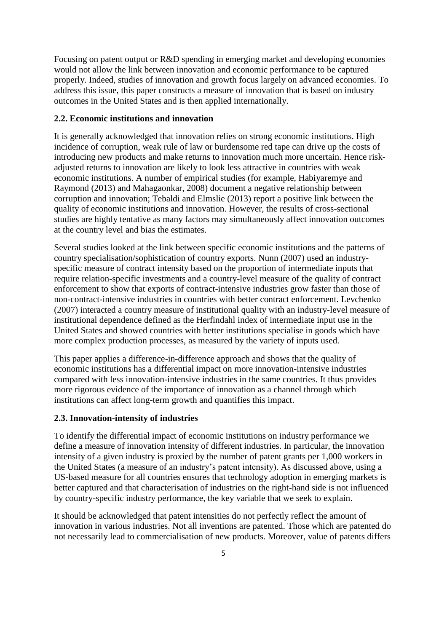Focusing on patent output or R&D spending in emerging market and developing economies would not allow the link between innovation and economic performance to be captured properly. Indeed, studies of innovation and growth focus largely on advanced economies. To address this issue, this paper constructs a measure of innovation that is based on industry outcomes in the United States and is then applied internationally.

### **2.2. Economic institutions and innovation**

It is generally acknowledged that innovation relies on strong economic institutions. High incidence of corruption, weak rule of law or burdensome red tape can drive up the costs of introducing new products and make returns to innovation much more uncertain. Hence riskadjusted returns to innovation are likely to look less attractive in countries with weak economic institutions. A number of empirical studies (for example, Habiyaremye and Raymond (2013) and Mahagaonkar, 2008) document a negative relationship between corruption and innovation; Tebaldi and Elmslie (2013) report a positive link between the quality of economic institutions and innovation. However, the results of cross-sectional studies are highly tentative as many factors may simultaneously affect innovation outcomes at the country level and bias the estimates.

Several studies looked at the link between specific economic institutions and the patterns of country specialisation/sophistication of country exports. Nunn (2007) used an industryspecific measure of contract intensity based on the proportion of intermediate inputs that require relation-specific investments and a country-level measure of the quality of contract enforcement to show that exports of contract-intensive industries grow faster than those of non-contract-intensive industries in countries with better contract enforcement. Levchenko (2007) interacted a country measure of institutional quality with an industry-level measure of institutional dependence defined as the Herfindahl index of intermediate input use in the United States and showed countries with better institutions specialise in goods which have more complex production processes, as measured by the variety of inputs used.

This paper applies a difference-in-difference approach and shows that the quality of economic institutions has a differential impact on more innovation-intensive industries compared with less innovation-intensive industries in the same countries. It thus provides more rigorous evidence of the importance of innovation as a channel through which institutions can affect long-term growth and quantifies this impact.

## **2.3. Innovation-intensity of industries**

To identify the differential impact of economic institutions on industry performance we define a measure of innovation intensity of different industries. In particular, the innovation intensity of a given industry is proxied by the number of patent grants per 1,000 workers in the United States (a measure of an industry's patent intensity). As discussed above, using a US-based measure for all countries ensures that technology adoption in emerging markets is better captured and that characterisation of industries on the right-hand side is not influenced by country-specific industry performance, the key variable that we seek to explain.

It should be acknowledged that patent intensities do not perfectly reflect the amount of innovation in various industries. Not all inventions are patented. Those which are patented do not necessarily lead to commercialisation of new products. Moreover, value of patents differs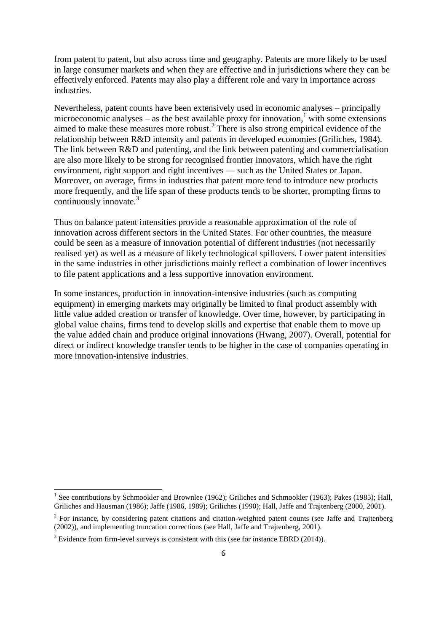from patent to patent, but also across time and geography. Patents are more likely to be used in large consumer markets and when they are effective and in jurisdictions where they can be effectively enforced. Patents may also play a different role and vary in importance across industries.

Nevertheless, patent counts have been extensively used in economic analyses – principally microeconomic analyses – as the best available proxy for innovation,<sup>1</sup> with some extensions aimed to make these measures more robust.<sup>2</sup> There is also strong empirical evidence of the relationship between R&D intensity and patents in developed economies (Griliches, 1984). The link between R&D and patenting, and the link between patenting and commercialisation are also more likely to be strong for recognised frontier innovators, which have the right environment, right support and right incentives — such as the United States or Japan. Moreover, on average, firms in industries that patent more tend to introduce new products more frequently, and the life span of these products tends to be shorter, prompting firms to continuously innovate. $3$ 

Thus on balance patent intensities provide a reasonable approximation of the role of innovation across different sectors in the United States. For other countries, the measure could be seen as a measure of innovation potential of different industries (not necessarily realised yet) as well as a measure of likely technological spillovers. Lower patent intensities in the same industries in other jurisdictions mainly reflect a combination of lower incentives to file patent applications and a less supportive innovation environment.

In some instances, production in innovation-intensive industries (such as computing equipment) in emerging markets may originally be limited to final product assembly with little value added creation or transfer of knowledge. Over time, however, by participating in global value chains, firms tend to develop skills and expertise that enable them to move up the value added chain and produce original innovations (Hwang, 2007). Overall, potential for direct or indirect knowledge transfer tends to be higher in the case of companies operating in more innovation-intensive industries.

 $\overline{a}$ 

<sup>&</sup>lt;sup>1</sup> See contributions by Schmookler and Brownlee (1962); Griliches and Schmookler (1963); Pakes (1985); Hall, Griliches and Hausman (1986); Jaffe (1986, 1989); Griliches (1990); Hall, Jaffe and Trajtenberg (2000, 2001).

 $2^2$  For instance, by considering patent citations and citation-weighted patent counts (see Jaffe and Trajtenberg (2002)), and implementing truncation corrections (see Hall, Jaffe and Trajtenberg, 2001).

 $3$  Evidence from firm-level surveys is consistent with this (see for instance EBRD (2014)).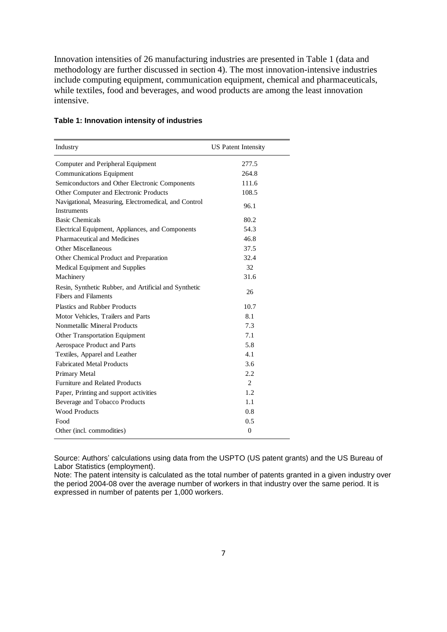Innovation intensities of 26 manufacturing industries are presented in Table 1 (data and methodology are further discussed in section 4). The most innovation-intensive industries include computing equipment, communication equipment, chemical and pharmaceuticals, while textiles, food and beverages, and wood products are among the least innovation intensive.

| Industry                                                                             | <b>US Patent Intensity</b> |
|--------------------------------------------------------------------------------------|----------------------------|
| Computer and Peripheral Equipment                                                    | 277.5                      |
| <b>Communications Equipment</b>                                                      | 264.8                      |
| Semiconductors and Other Electronic Components                                       | 111.6                      |
| Other Computer and Electronic Products                                               | 108.5                      |
| Navigational, Measuring, Electromedical, and Control<br>Instruments                  | 96.1                       |
| <b>Basic Chemicals</b>                                                               | 80.2                       |
| Electrical Equipment, Appliances, and Components                                     | 54.3                       |
| <b>Pharmaceutical and Medicines</b>                                                  | 46.8                       |
| Other Miscellaneous                                                                  | 37.5                       |
| Other Chemical Product and Preparation                                               | 32.4                       |
| Medical Equipment and Supplies                                                       | 32                         |
| Machinery                                                                            | 31.6                       |
| Resin, Synthetic Rubber, and Artificial and Synthetic<br><b>Fibers and Filaments</b> | 26                         |
| <b>Plastics and Rubber Products</b>                                                  | 10.7                       |
| Motor Vehicles, Trailers and Parts                                                   | 8.1                        |
| Nonmetallic Mineral Products                                                         | 7.3                        |
| Other Transportation Equipment                                                       | 7.1                        |
| Aerospace Product and Parts                                                          | 5.8                        |
| Textiles, Apparel and Leather                                                        | 4.1                        |
| <b>Fabricated Metal Products</b>                                                     | 3.6                        |
| Primary Metal                                                                        | 2.2                        |
| <b>Furniture and Related Products</b>                                                | 2                          |
| Paper, Printing and support activities                                               | 1.2.                       |
| Beverage and Tobacco Products                                                        | 1.1                        |
| <b>Wood Products</b>                                                                 | 0.8                        |
| Food                                                                                 | 0.5                        |
| Other (incl. commodities)                                                            | $\overline{0}$             |

### **Table 1: Innovation intensity of industries**

Source: Authors' calculations using data from the USPTO (US patent grants) and the US Bureau of Labor Statistics (employment).

Note: The patent intensity is calculated as the total number of patents granted in a given industry over the period 2004-08 over the average number of workers in that industry over the same period. It is expressed in number of patents per 1,000 workers.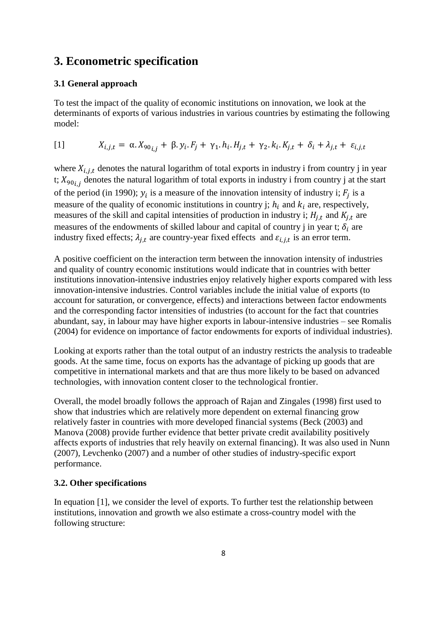# **3. Econometric specification**

## **3.1 General approach**

To test the impact of the quality of economic institutions on innovation, we look at the determinants of exports of various industries in various countries by estimating the following model:

$$
[1] \qquad X_{i,j,t} = \alpha X_{90_{i,j}} + \beta Y_i F_j + \gamma_1 h_i H_{j,t} + \gamma_2 R_i K_{j,t} + \delta_i + \lambda_{j,t} + \varepsilon_{i,j,t}
$$

where  $X_{i,j,t}$  denotes the natural logarithm of total exports in industry i from country j in year t;  $X_{90_{i,j}}$  denotes the natural logarithm of total exports in industry i from country j at the start of the period (in 1990);  $y_i$  is a measure of the innovation intensity of industry i;  $F_j$  is a measure of the quality of economic institutions in country j;  $h_i$  and  $k_i$  are, respectively, measures of the skill and capital intensities of production in industry i;  $H_{i,t}$  and  $K_{i,t}$  are measures of the endowments of skilled labour and capital of country j in year t;  $\delta_i$  are industry fixed effects;  $\lambda_{j,t}$  are country-year fixed effects and  $\varepsilon_{i,j,t}$  is an error term.

A positive coefficient on the interaction term between the innovation intensity of industries and quality of country economic institutions would indicate that in countries with better institutions innovation-intensive industries enjoy relatively higher exports compared with less innovation-intensive industries. Control variables include the initial value of exports (to account for saturation, or convergence, effects) and interactions between factor endowments and the corresponding factor intensities of industries (to account for the fact that countries abundant, say, in labour may have higher exports in labour-intensive industries – see Romalis (2004) for evidence on importance of factor endowments for exports of individual industries).

Looking at exports rather than the total output of an industry restricts the analysis to tradeable goods. At the same time, focus on exports has the advantage of picking up goods that are competitive in international markets and that are thus more likely to be based on advanced technologies, with innovation content closer to the technological frontier.

Overall, the model broadly follows the approach of Rajan and Zingales (1998) first used to show that industries which are relatively more dependent on external financing grow relatively faster in countries with more developed financial systems (Beck (2003) and Manova (2008) provide further evidence that better private credit availability positively affects exports of industries that rely heavily on external financing). It was also used in Nunn (2007), Levchenko (2007) and a number of other studies of industry-specific export performance.

## **3.2. Other specifications**

In equation [1], we consider the level of exports. To further test the relationship between institutions, innovation and growth we also estimate a cross-country model with the following structure: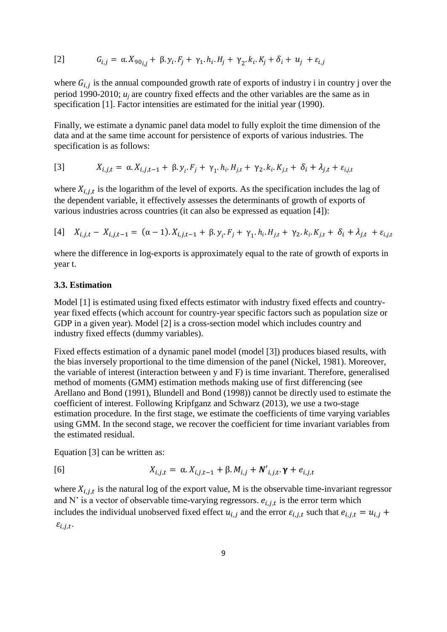[2] 
$$
G_{i,j} = \alpha \cdot X_{90_{i,j}} + \beta \cdot y_i \cdot F_j + \gamma_1 \cdot h_i \cdot H_j + \gamma_2 \cdot k_i \cdot K_j + \delta_i + u_j + \varepsilon_{i,j}
$$

where  $G_{i,j}$  is the annual compounded growth rate of exports of industry i in country j over the period 1990-2010;  $u_i$  are country fixed effects and the other variables are the same as in specification [1]. Factor intensities are estimated for the initial year (1990).

Finally, we estimate a dynamic panel data model to fully exploit the time dimension of the data and at the same time account for persistence of exports of various industries. The specification is as follows:

$$
[3] \tX_{i,j,t} = \alpha X_{i,j,t-1} + \beta Y_i F_j + \gamma_1 h_i H_{j,t} + \gamma_2 R_i K_{j,t} + \delta_i + \lambda_{j,t} + \varepsilon_{i,j,t}
$$

where  $X_{i,j,t}$  is the logarithm of the level of exports. As the specification includes the lag of the dependent variable, it effectively assesses the determinants of growth of exports of various industries across countries (it can also be expressed as equation [4]):

$$
[4] \quad X_{i,j,t} - X_{i,j,t-1} = (\alpha - 1) \cdot X_{i,j,t-1} + \beta \cdot y_i \cdot F_j + \gamma_1 \cdot h_i \cdot H_{j,t} + \gamma_2 \cdot k_i \cdot K_{j,t} + \delta_i + \lambda_{j,t} + \varepsilon_{i,j,t}
$$

where the difference in log-exports is approximately equal to the rate of growth of exports in year t.

### **3.3. Estimation**

Model [1] is estimated using fixed effects estimator with industry fixed effects and countryyear fixed effects (which account for country-year specific factors such as population size or GDP in a given year). Model [2] is a cross-section model which includes country and industry fixed effects (dummy variables).

Fixed effects estimation of a dynamic panel model (model [3]) produces biased results, with the bias inversely proportional to the time dimension of the panel (Nickel, 1981). Moreover, the variable of interest (interaction between y and F) is time invariant. Therefore, generalised method of moments (GMM) estimation methods making use of first differencing (see Arellano and Bond (1991), Blundell and Bond (1998)) cannot be directly used to estimate the coefficient of interest. Following Kripfganz and Schwarz (2013), we use a two-stage estimation procedure. In the first stage, we estimate the coefficients of time varying variables using GMM. In the second stage, we recover the coefficient for time invariant variables from the estimated residual.

Equation [3] can be written as:

[6] 
$$
X_{i,j,t} = \alpha. X_{i,j,t-1} + \beta. M_{i,j} + N'_{i,j,t} \cdot \gamma + e_{i,j,t}
$$

where  $X_{i,j,t}$  is the natural log of the export value, M is the observable time-invariant regressor and N' is a vector of observable time-varying regressors.  $e_{i,j,t}$  is the error term which includes the individual unobserved fixed effect  $u_{i,j}$  and the error  $\varepsilon_{i,j,t}$  such that  $e_{i,j,t} = u_{i,j} + \varepsilon$  $\varepsilon_{i,j,t}$ .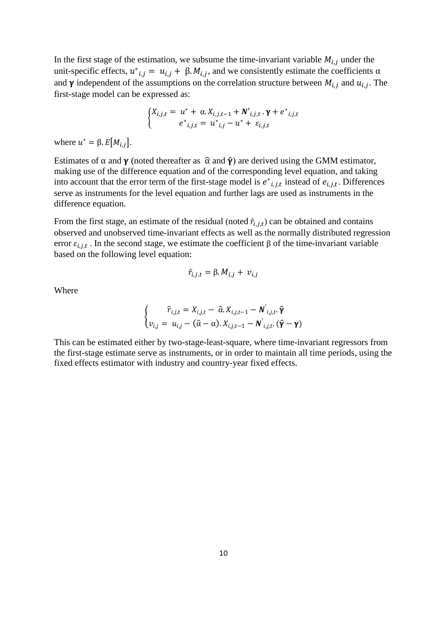In the first stage of the estimation, we subsume the time-invariant variable  $M_{i,j}$  under the unit-specific effects,  $u^*_{i,j} = u_{i,j} + \beta M_{i,j}$ , and we consistently estimate the coefficients  $\alpha$ and  $\gamma$  independent of the assumptions on the correlation structure between  $M_{i,j}$  and  $u_{i,j}$ . The first-stage model can be expressed as:

$$
\begin{cases} X_{i,j,t} = u^* + \alpha. X_{i,j,t-1} + N'_{i,j,t} \cdot \gamma + e^*_{i,j,t} \\ e^*_{i,j,t} = u^*_{i,j} - u^* + \varepsilon_{i,j,t} \end{cases}
$$

where  $u^* = \beta E[M_{i,j}].$ 

Estimates of  $\alpha$  and  $\gamma$  (noted thereafter as  $\hat{\alpha}$  and  $\hat{\gamma}$ ) are derived using the GMM estimator, making use of the difference equation and of the corresponding level equation, and taking into account that the error term of the first-stage model is  $e_{i,j,t}^*$  instead of  $e_{i,j,t}$ . Differences serve as instruments for the level equation and further lags are used as instruments in the difference equation.

From the first stage, an estimate of the residual (noted  $\hat{r}_{i,j,t}$ ) can be obtained and contains observed and unobserved time-invariant effects as well as the normally distributed regression error  $\varepsilon_{i,j,t}$ . In the second stage, we estimate the coefficient  $\beta$  of the time-invariant variable based on the following level equation:

$$
\hat{r}_{i,j,t} = \beta \cdot M_{i,j} + v_{i,j}
$$

Where

$$
\begin{cases}\n\hat{r}_{i,j,t} = X_{i,j,t} - \hat{\alpha}.X_{i,j,t-1} - \mathbf{N'}_{i,j,t}.\hat{\mathbf{\gamma}} \\
v_{i,j} = u_{i,j} - (\hat{\alpha} - \alpha).X_{i,j,t-1} - \mathbf{N'}_{i,j,t}.\hat{(\hat{\mathbf{\gamma}} - \mathbf{\gamma})}\n\end{cases}
$$

This can be estimated either by two-stage-least-square, where time-invariant regressors from the first-stage estimate serve as instruments, or in order to maintain all time periods, using the fixed effects estimator with industry and country-year fixed effects.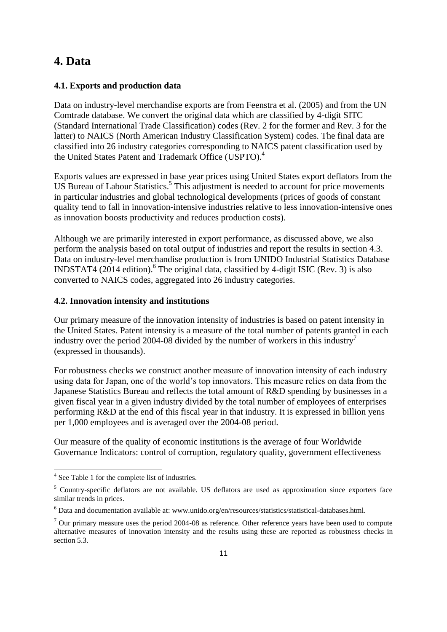# **4. Data**

#### **4.1. Exports and production data**

Data on industry-level merchandise exports are from Feenstra et al. (2005) and from the UN Comtrade database. We convert the original data which are classified by 4-digit SITC (Standard International Trade Classification) codes (Rev. 2 for the former and Rev. 3 for the latter) to NAICS (North American Industry Classification System) codes. The final data are classified into 26 industry categories corresponding to NAICS patent classification used by the United States Patent and Trademark Office (USPTO).<sup>4</sup>

Exports values are expressed in base year prices using United States export deflators from the US Bureau of Labour Statistics.<sup>5</sup> This adjustment is needed to account for price movements in particular industries and global technological developments (prices of goods of constant quality tend to fall in innovation-intensive industries relative to less innovation-intensive ones as innovation boosts productivity and reduces production costs).

Although we are primarily interested in export performance, as discussed above, we also perform the analysis based on total output of industries and report the results in section 4.3. Data on industry-level merchandise production is from UNIDO Industrial Statistics Database INDSTAT4 (2014 edition). 6 The original data, classified by 4-digit ISIC (Rev. 3) is also converted to NAICS codes, aggregated into 26 industry categories.

#### **4.2. Innovation intensity and institutions**

Our primary measure of the innovation intensity of industries is based on patent intensity in the United States. Patent intensity is a measure of the total number of patents granted in each industry over the period 2004-08 divided by the number of workers in this industry<sup>7</sup> (expressed in thousands).

For robustness checks we construct another measure of innovation intensity of each industry using data for Japan, one of the world's top innovators. This measure relies on data from the Japanese Statistics Bureau and reflects the total amount of R&D spending by businesses in a given fiscal year in a given industry divided by the total number of employees of enterprises performing R&D at the end of this fiscal year in that industry. It is expressed in billion yens per 1,000 employees and is averaged over the 2004-08 period.

Our measure of the quality of economic institutions is the average of four Worldwide Governance Indicators: control of corruption, regulatory quality, government effectiveness

 4 See Table 1 for the complete list of industries.

<sup>5</sup> Country-specific deflators are not available. US deflators are used as approximation since exporters face similar trends in prices.

<sup>6</sup> Data and documentation available at: www.unido.org/en/resources/statistics/statistical-databases.html.

 $7$  Our primary measure uses the period 2004-08 as reference. Other reference years have been used to compute alternative measures of innovation intensity and the results using these are reported as robustness checks in section 5.3.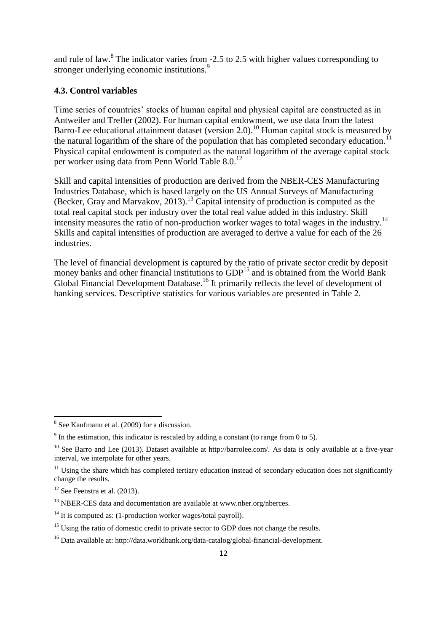and rule of law. $8$  The indicator varies from -2.5 to 2.5 with higher values corresponding to stronger underlying economic institutions.<sup>9</sup>

#### **4.3. Control variables**

Time series of countries' stocks of human capital and physical capital are constructed as in Antweiler and Trefler (2002). For human capital endowment, we use data from the latest Barro-Lee educational attainment dataset (version 2.0).<sup>10</sup> Human capital stock is measured by the natural logarithm of the share of the population that has completed secondary education.<sup>11</sup> Physical capital endowment is computed as the natural logarithm of the average capital stock per worker using data from Penn World Table 8.0.<sup>12</sup>

Skill and capital intensities of production are derived from the NBER-CES Manufacturing Industries Database, which is based largely on the US Annual Surveys of Manufacturing (Becker, Gray and Marvakov, 2013).<sup>13</sup> Capital intensity of production is computed as the total real capital stock per industry over the total real value added in this industry. Skill intensity measures the ratio of non-production worker wages to total wages in the industry.<sup>14</sup> Skills and capital intensities of production are averaged to derive a value for each of the 26 industries.

The level of financial development is captured by the ratio of private sector credit by deposit money banks and other financial institutions to  $GDP<sup>15</sup>$  and is obtained from the World Bank Global Financial Development Database.<sup>16</sup> It primarily reflects the level of development of banking services. Descriptive statistics for various variables are presented in Table 2.

<sup>&</sup>lt;sup>8</sup> See Kaufmann et al. (2009) for a discussion.

 $9 \text{ In the estimation, this indicator is rescaled by adding a constant (to range from 0 to 5).}$ 

<sup>&</sup>lt;sup>10</sup> See Barro and Lee (2013). Dataset available at http://barrolee.com/. As data is only available at a five-vear interval, we interpolate for other years.

 $11$  Using the share which has completed tertiary education instead of secondary education does not significantly change the results.

 $12$  See Feenstra et al.  $(2013)$ .

<sup>&</sup>lt;sup>13</sup> NBER-CES data and documentation are available at www.nber.org/nberces.

<sup>&</sup>lt;sup>14</sup> It is computed as: (1-production worker wages/total payroll).

<sup>&</sup>lt;sup>15</sup> Using the ratio of domestic credit to private sector to GDP does not change the results.

<sup>16</sup> Data available at: http://data.worldbank.org/data-catalog/global-financial-development.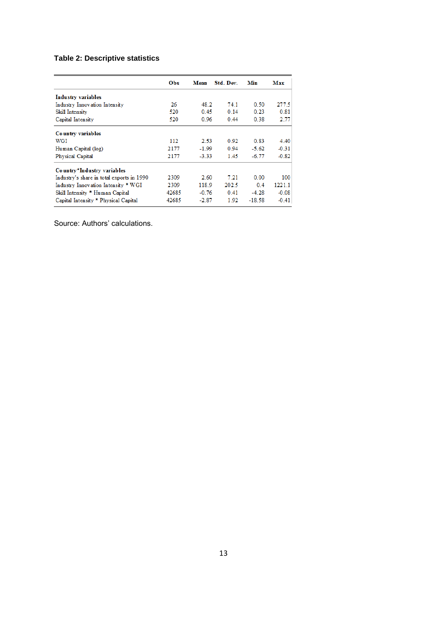## **Table 2: Descriptive statistics**

|                                           | Obs   | Mean    | Std. Dev. | Min      | Max     |
|-------------------------------------------|-------|---------|-----------|----------|---------|
| Industry variables                        |       |         |           |          |         |
| Industry Innovation Intensity             | 26    | 48.2    | 74.1      | 0.50     | 277.5   |
| Skill Intensity                           | 520   | 0.45    | 0.14      | 0.23     | 0.81    |
| Capital Intensity                         | 520   | 0.96    | 0.44      | 0.38     | 2.77    |
| Country variables                         |       |         |           |          |         |
| WGI                                       | 112   | 2.53    | 0.92      | 0.83     | 4.40    |
| Human Capital (log)                       | 2177  | $-1.99$ | 0.94      | $-5.62$  | $-0.31$ |
| <b>Physical Capital</b>                   | 2177  | $-3.33$ | 1.45      | $-6.77$  | $-0.82$ |
| Country*Industry variables                |       |         |           |          |         |
| Industry's share in total exports in 1990 | 2309  | 2.60    | 7 21      | 0.00     | 100     |
| Industry Innovation Intensity * WGI       | 2309  | 118.9   | 202.5     | 0.4      | 1221.1  |
| Skill Intensity * Human Capital           | 42685 | $-0.76$ | 0.41      | $-4.28$  | $-0.08$ |
| Capital Intensity * Physical Capital      | 42685 | $-2.87$ | 1.92      | $-18.58$ | $-0.41$ |

Source: Authors' calculations.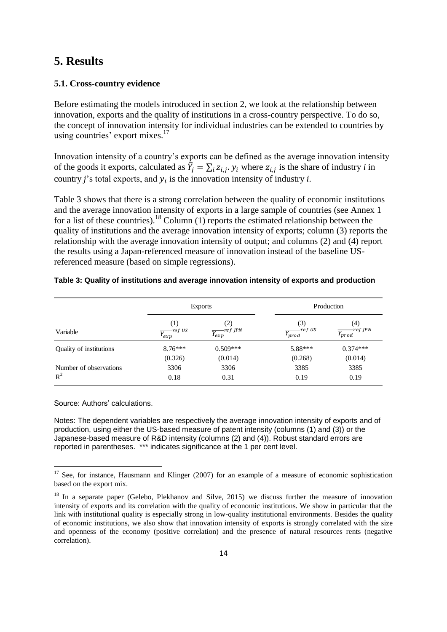# **5. Results**

## **5.1. Cross-country evidence**

Before estimating the models introduced in section 2, we look at the relationship between innovation, exports and the quality of institutions in a cross-country perspective. To do so, the concept of innovation intensity for individual industries can be extended to countries by using countries' export mixes.<sup>17</sup>

Innovation intensity of a country's exports can be defined as the average innovation intensity of the goods it exports, calculated as  $\overline{Y}_j = \sum_i z_{i,j}$ ,  $y_i$  where  $z_{i,j}$  is the share of industry *i* in country *j*'s total exports, and  $y_i$  is the innovation intensity of industry *i*.

Table 3 shows that there is a strong correlation between the quality of economic institutions and the average innovation intensity of exports in a large sample of countries (see Annex 1 for a list of these countries).<sup>18</sup> Column (1) reports the estimated relationship between the quality of institutions and the average innovation intensity of exports; column (3) reports the relationship with the average innovation intensity of output; and columns (2) and (4) report the results using a Japan-referenced measure of innovation instead of the baseline USreferenced measure (based on simple regressions).

|                                 | <b>Exports</b>                          |                                         |  |                                         | Production               |
|---------------------------------|-----------------------------------------|-----------------------------------------|--|-----------------------------------------|--------------------------|
| Variable                        | (1)<br>$\overline{V}$ ref US<br>$^lexp$ | (2)<br>-ref JPN<br>$\overline{Y_{exp}}$ |  | (3)<br>-ref US<br>$\overline{Y_{prod}}$ | (4)<br>-ref JPN<br>Iprod |
| Quality of institutions         | $8.76***$<br>(0.326)                    | $0.509***$<br>(0.014)                   |  | 5.88***<br>(0.268)                      | $0.374***$<br>(0.014)    |
| Number of observations<br>$R^2$ | 3306<br>0.18                            | 3306<br>0.31                            |  | 3385<br>0.19                            | 3385<br>0.19             |

#### **Table 3: Quality of institutions and average innovation intensity of exports and production**

Source: Authors' calculations.

**.** 

Notes: The dependent variables are respectively the average innovation intensity of exports and of production, using either the US-based measure of patent intensity (columns (1) and (3)) or the Japanese-based measure of R&D intensity (columns (2) and (4)). Robust standard errors are reported in parentheses. \*\*\* indicates significance at the 1 per cent level.

 $17$  See, for instance, Hausmann and Klinger (2007) for an example of a measure of economic sophistication based on the export mix.

<sup>&</sup>lt;sup>18</sup> In a separate paper (Gelebo, Plekhanov and Silve, 2015) we discuss further the measure of innovation intensity of exports and its correlation with the quality of economic institutions. We show in particular that the link with institutional quality is especially strong in low-quality institutional environments. Besides the quality of economic institutions, we also show that innovation intensity of exports is strongly correlated with the size and openness of the economy (positive correlation) and the presence of natural resources rents (negative correlation).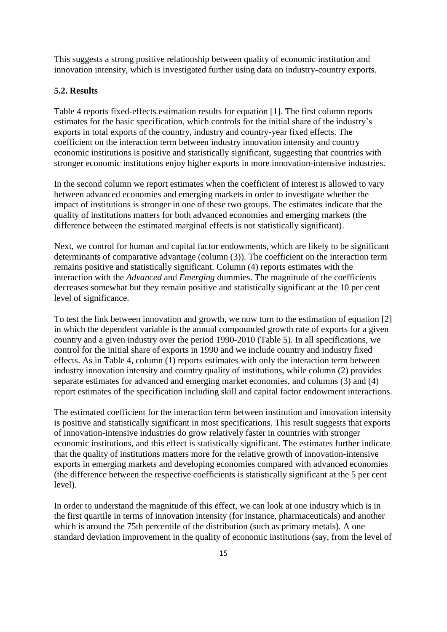This suggests a strong positive relationship between quality of economic institution and innovation intensity, which is investigated further using data on industry-country exports.

### **5.2. Results**

Table 4 reports fixed-effects estimation results for equation [1]. The first column reports estimates for the basic specification, which controls for the initial share of the industry's exports in total exports of the country, industry and country-year fixed effects. The coefficient on the interaction term between industry innovation intensity and country economic institutions is positive and statistically significant, suggesting that countries with stronger economic institutions enjoy higher exports in more innovation-intensive industries.

In the second column we report estimates when the coefficient of interest is allowed to vary between advanced economies and emerging markets in order to investigate whether the impact of institutions is stronger in one of these two groups. The estimates indicate that the quality of institutions matters for both advanced economies and emerging markets (the difference between the estimated marginal effects is not statistically significant).

Next, we control for human and capital factor endowments, which are likely to be significant determinants of comparative advantage (column (3)). The coefficient on the interaction term remains positive and statistically significant. Column (4) reports estimates with the interaction with the *Advanced* and *Emerging* dummies. The magnitude of the coefficients decreases somewhat but they remain positive and statistically significant at the 10 per cent level of significance.

To test the link between innovation and growth, we now turn to the estimation of equation [2] in which the dependent variable is the annual compounded growth rate of exports for a given country and a given industry over the period 1990-2010 (Table 5). In all specifications, we control for the initial share of exports in 1990 and we include country and industry fixed effects. As in Table 4, column (1) reports estimates with only the interaction term between industry innovation intensity and country quality of institutions, while column (2) provides separate estimates for advanced and emerging market economies, and columns (3) and (4) report estimates of the specification including skill and capital factor endowment interactions.

The estimated coefficient for the interaction term between institution and innovation intensity is positive and statistically significant in most specifications. This result suggests that exports of innovation-intensive industries do grow relatively faster in countries with stronger economic institutions, and this effect is statistically significant. The estimates further indicate that the quality of institutions matters more for the relative growth of innovation-intensive exports in emerging markets and developing economies compared with advanced economies (the difference between the respective coefficients is statistically significant at the 5 per cent level).

In order to understand the magnitude of this effect, we can look at one industry which is in the first quartile in terms of innovation intensity (for instance, pharmaceuticals) and another which is around the 75th percentile of the distribution (such as primary metals). A one standard deviation improvement in the quality of economic institutions (say, from the level of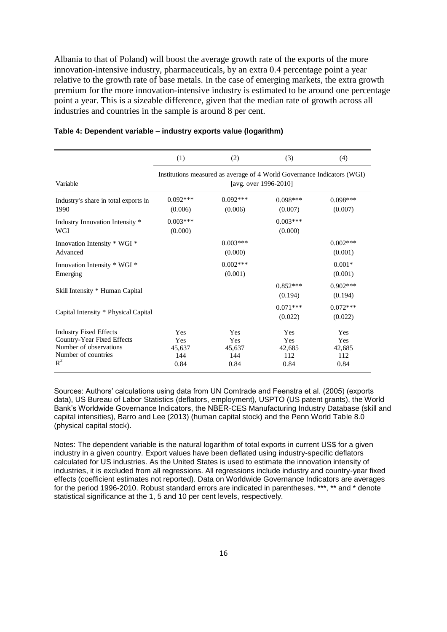Albania to that of Poland) will boost the average growth rate of the exports of the more innovation-intensive industry, pharmaceuticals, by an extra 0.4 percentage point a year relative to the growth rate of base metals. In the case of emerging markets, the extra growth premium for the more innovation-intensive industry is estimated to be around one percentage point a year. This is a sizeable difference, given that the median rate of growth across all industries and countries in the sample is around 8 per cent.

|                                                             | (1)                   | (2)                                                                                              | (3)                   | (4)                   |  |  |  |
|-------------------------------------------------------------|-----------------------|--------------------------------------------------------------------------------------------------|-----------------------|-----------------------|--|--|--|
| Variable                                                    |                       | Institutions measured as average of 4 World Governance Indicators (WGI)<br>[avg. over 1996-2010] |                       |                       |  |  |  |
| Industry's share in total exports in<br>1990                | $0.092***$<br>(0.006) | $0.092***$<br>(0.006)                                                                            | $0.098***$<br>(0.007) | $0.098***$<br>(0.007) |  |  |  |
| Industry Innovation Intensity *<br>WGI                      | $0.003***$<br>(0.000) |                                                                                                  | $0.003***$<br>(0.000) |                       |  |  |  |
| Innovation Intensity * WGI *<br>Advanced                    |                       | $0.003***$<br>(0.000)                                                                            |                       | $0.002***$<br>(0.001) |  |  |  |
| Innovation Intensity * WGI *<br>Emerging                    |                       | $0.002***$<br>(0.001)                                                                            |                       | $0.001*$<br>(0.001)   |  |  |  |
| Skill Intensity * Human Capital                             |                       |                                                                                                  | $0.852***$<br>(0.194) | $0.902***$<br>(0.194) |  |  |  |
| Capital Intensity * Physical Capital                        |                       |                                                                                                  | $0.071***$<br>(0.022) | $0.072***$<br>(0.022) |  |  |  |
| <b>Industry Fixed Effects</b><br>Country-Year Fixed Effects | Yes<br>Yes            | <b>Yes</b><br><b>Yes</b>                                                                         | <b>Yes</b><br>Yes     | Yes<br>Yes            |  |  |  |
| Number of observations<br>Number of countries<br>$R^2$      | 45,637<br>144<br>0.84 | 45,637<br>144<br>0.84                                                                            | 42,685<br>112<br>0.84 | 42,685<br>112<br>0.84 |  |  |  |

#### **Table 4: Dependent variable – industry exports value (logarithm)**

Sources: Authors' calculations using data from UN Comtrade and Feenstra et al. (2005) (exports data), US Bureau of Labor Statistics (deflators, employment), USPTO (US patent grants), the World Bank's Worldwide Governance Indicators, the NBER-CES Manufacturing Industry Database (skill and capital intensities), Barro and Lee (2013) (human capital stock) and the Penn World Table 8.0 (physical capital stock).

Notes: The dependent variable is the natural logarithm of total exports in current US\$ for a given industry in a given country. Export values have been deflated using industry-specific deflators calculated for US industries. As the United States is used to estimate the innovation intensity of industries, it is excluded from all regressions. All regressions include industry and country-year fixed effects (coefficient estimates not reported). Data on Worldwide Governance Indicators are averages for the period 1996-2010. Robust standard errors are indicated in parentheses. \*\*\*, \*\* and \* denote statistical significance at the 1, 5 and 10 per cent levels, respectively.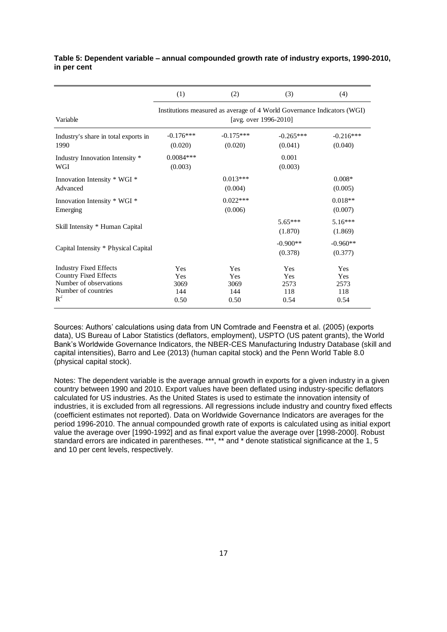|                                                                                                                         | (1)                                      | (2)                                             | (3)                                                                     | (4)                               |
|-------------------------------------------------------------------------------------------------------------------------|------------------------------------------|-------------------------------------------------|-------------------------------------------------------------------------|-----------------------------------|
| Variable                                                                                                                |                                          | [avg. over 1996-2010]                           | Institutions measured as average of 4 World Governance Indicators (WGI) |                                   |
| Industry's share in total exports in<br>1990                                                                            | $-0.176***$<br>(0.020)                   | $-0.175***$<br>(0.020)                          | $-0.265***$<br>(0.041)                                                  | $-0.216***$<br>(0.040)            |
| Industry Innovation Intensity *<br>WGI                                                                                  | $0.0084***$<br>(0.003)                   |                                                 | 0.001<br>(0.003)                                                        |                                   |
| Innovation Intensity * WGI *<br>Advanced                                                                                |                                          | $0.013***$<br>(0.004)                           |                                                                         | $0.008*$<br>(0.005)               |
| Innovation Intensity * WGI *<br>Emerging                                                                                |                                          | $0.022***$<br>(0.006)                           |                                                                         | $0.018**$<br>(0.007)              |
| Skill Intensity * Human Capital                                                                                         |                                          |                                                 | $5.65***$<br>(1.870)                                                    | $5.16***$<br>(1.869)              |
| Capital Intensity * Physical Capital                                                                                    |                                          |                                                 | $-0.900**$<br>(0.378)                                                   | $-0.960**$<br>(0.377)             |
| <b>Industry Fixed Effects</b><br><b>Country Fixed Effects</b><br>Number of observations<br>Number of countries<br>$R^2$ | Yes<br><b>Yes</b><br>3069<br>144<br>0.50 | <b>Yes</b><br><b>Yes</b><br>3069<br>144<br>0.50 | Yes<br>Yes<br>2573<br>118<br>0.54                                       | Yes<br>Yes<br>2573<br>118<br>0.54 |

**Table 5: Dependent variable – annual compounded growth rate of industry exports, 1990-2010, in per cent**

Sources: Authors' calculations using data from UN Comtrade and Feenstra et al. (2005) (exports data), US Bureau of Labor Statistics (deflators, employment), USPTO (US patent grants), the World Bank's Worldwide Governance Indicators, the NBER-CES Manufacturing Industry Database (skill and capital intensities), Barro and Lee (2013) (human capital stock) and the Penn World Table 8.0 (physical capital stock).

Notes: The dependent variable is the average annual growth in exports for a given industry in a given country between 1990 and 2010. Export values have been deflated using industry-specific deflators calculated for US industries. As the United States is used to estimate the innovation intensity of industries, it is excluded from all regressions. All regressions include industry and country fixed effects (coefficient estimates not reported). Data on Worldwide Governance Indicators are averages for the period 1996-2010. The annual compounded growth rate of exports is calculated using as initial export value the average over [1990-1992] and as final export value the average over [1998-2000]. Robust standard errors are indicated in parentheses. \*\*\*, \*\* and \* denote statistical significance at the 1, 5 and 10 per cent levels, respectively.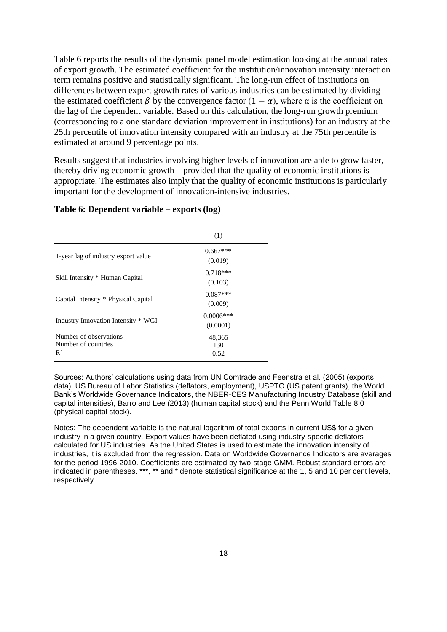Table 6 reports the results of the dynamic panel model estimation looking at the annual rates of export growth. The estimated coefficient for the institution/innovation intensity interaction term remains positive and statistically significant. The long-run effect of institutions on differences between export growth rates of various industries can be estimated by dividing the estimated coefficient  $\beta$  by the convergence factor  $(1 - \alpha)$ , where  $\alpha$  is the coefficient on the lag of the dependent variable. Based on this calculation, the long-run growth premium (corresponding to a one standard deviation improvement in institutions) for an industry at the 25th percentile of innovation intensity compared with an industry at the 75th percentile is estimated at around 9 percentage points.

Results suggest that industries involving higher levels of innovation are able to grow faster, thereby driving economic growth – provided that the quality of economic institutions is appropriate. The estimates also imply that the quality of economic institutions is particularly important for the development of innovation-intensive industries.

|                                                        | (1)                     |
|--------------------------------------------------------|-------------------------|
| 1-year lag of industry export value                    | $0.667***$<br>(0.019)   |
| Skill Intensity * Human Capital                        | $0.718***$<br>(0.103)   |
| Capital Intensity * Physical Capital                   | $0.087***$<br>(0.009)   |
| Industry Innovation Intensity * WGI                    | $0.0006***$<br>(0.0001) |
| Number of observations<br>Number of countries<br>$R^2$ | 48,365<br>130<br>0.52   |

## **Table 6: Dependent variable – exports (log)**

Sources: Authors' calculations using data from UN Comtrade and Feenstra et al. (2005) (exports data), US Bureau of Labor Statistics (deflators, employment), USPTO (US patent grants), the World Bank's Worldwide Governance Indicators, the NBER-CES Manufacturing Industry Database (skill and capital intensities), Barro and Lee (2013) (human capital stock) and the Penn World Table 8.0 (physical capital stock).

Notes: The dependent variable is the natural logarithm of total exports in current US\$ for a given industry in a given country. Export values have been deflated using industry-specific deflators calculated for US industries. As the United States is used to estimate the innovation intensity of industries, it is excluded from the regression. Data on Worldwide Governance Indicators are averages for the period 1996-2010. Coefficients are estimated by two-stage GMM. Robust standard errors are indicated in parentheses. \*\*\*, \*\* and \* denote statistical significance at the 1, 5 and 10 per cent levels, respectively.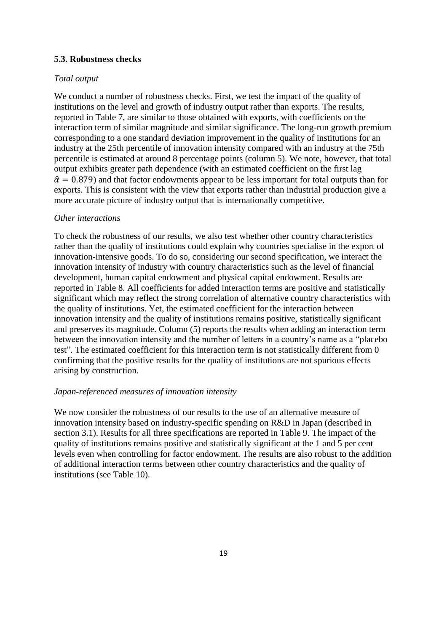### **5.3. Robustness checks**

#### *Total output*

We conduct a number of robustness checks. First, we test the impact of the quality of institutions on the level and growth of industry output rather than exports. The results, reported in Table 7, are similar to those obtained with exports, with coefficients on the interaction term of similar magnitude and similar significance. The long-run growth premium corresponding to a one standard deviation improvement in the quality of institutions for an industry at the 25th percentile of innovation intensity compared with an industry at the 75th percentile is estimated at around 8 percentage points (column 5). We note, however, that total output exhibits greater path dependence (with an estimated coefficient on the first lag  $\hat{\alpha} = 0.879$ ) and that factor endowments appear to be less important for total outputs than for exports. This is consistent with the view that exports rather than industrial production give a more accurate picture of industry output that is internationally competitive.

#### *Other interactions*

To check the robustness of our results, we also test whether other country characteristics rather than the quality of institutions could explain why countries specialise in the export of innovation-intensive goods. To do so, considering our second specification, we interact the innovation intensity of industry with country characteristics such as the level of financial development, human capital endowment and physical capital endowment. Results are reported in Table 8. All coefficients for added interaction terms are positive and statistically significant which may reflect the strong correlation of alternative country characteristics with the quality of institutions. Yet, the estimated coefficient for the interaction between innovation intensity and the quality of institutions remains positive, statistically significant and preserves its magnitude. Column (5) reports the results when adding an interaction term between the innovation intensity and the number of letters in a country's name as a "placebo test". The estimated coefficient for this interaction term is not statistically different from 0 confirming that the positive results for the quality of institutions are not spurious effects arising by construction.

#### *Japan-referenced measures of innovation intensity*

We now consider the robustness of our results to the use of an alternative measure of innovation intensity based on industry-specific spending on R&D in Japan (described in section 3.1). Results for all three specifications are reported in Table 9. The impact of the quality of institutions remains positive and statistically significant at the 1 and 5 per cent levels even when controlling for factor endowment. The results are also robust to the addition of additional interaction terms between other country characteristics and the quality of institutions (see Table 10).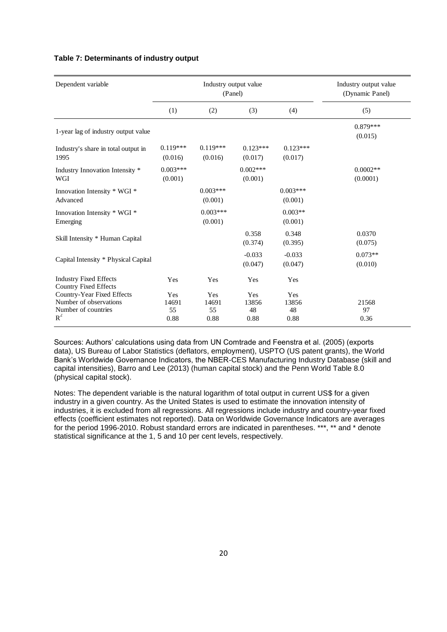#### **Table 7: Determinants of industry output**

| Dependent variable                                                                   | Industry output value<br>(Panel) |                            |                            |                            | Industry output value<br>(Dynamic Panel) |
|--------------------------------------------------------------------------------------|----------------------------------|----------------------------|----------------------------|----------------------------|------------------------------------------|
|                                                                                      | (1)                              | (2)                        | (3)                        | (4)                        | (5)                                      |
| 1-year lag of industry output value                                                  |                                  |                            |                            |                            | $0.879***$<br>(0.015)                    |
| Industry's share in total output in<br>1995                                          | $0.119***$<br>(0.016)            | $0.119***$<br>(0.016)      | $0.123***$<br>(0.017)      | $0.123***$<br>(0.017)      |                                          |
| Industry Innovation Intensity *<br><b>WGI</b>                                        | $0.003***$<br>(0.001)            |                            | $0.002***$<br>(0.001)      |                            | $0.0002**$<br>(0.0001)                   |
| Innovation Intensity * WGI *<br>Advanced                                             |                                  | $0.003***$<br>(0.001)      |                            | $0.003***$<br>(0.001)      |                                          |
| Innovation Intensity * WGI *<br>Emerging                                             |                                  | $0.003***$<br>(0.001)      |                            | $0.003**$<br>(0.001)       |                                          |
| Skill Intensity * Human Capital                                                      |                                  |                            | 0.358<br>(0.374)           | 0.348<br>(0.395)           | 0.0370<br>(0.075)                        |
| Capital Intensity * Physical Capital                                                 |                                  |                            | $-0.033$<br>(0.047)        | $-0.033$<br>(0.047)        | $0.073**$<br>(0.010)                     |
| <b>Industry Fixed Effects</b><br><b>Country Fixed Effects</b>                        | Yes                              | Yes                        | Yes                        | Yes                        |                                          |
| Country-Year Fixed Effects<br>Number of observations<br>Number of countries<br>$R^2$ | Yes<br>14691<br>55<br>0.88       | Yes<br>14691<br>55<br>0.88 | Yes<br>13856<br>48<br>0.88 | Yes<br>13856<br>48<br>0.88 | 21568<br>97<br>0.36                      |

Sources: Authors' calculations using data from UN Comtrade and Feenstra et al. (2005) (exports data), US Bureau of Labor Statistics (deflators, employment), USPTO (US patent grants), the World Bank's Worldwide Governance Indicators, the NBER-CES Manufacturing Industry Database (skill and capital intensities), Barro and Lee (2013) (human capital stock) and the Penn World Table 8.0 (physical capital stock).

Notes: The dependent variable is the natural logarithm of total output in current US\$ for a given industry in a given country. As the United States is used to estimate the innovation intensity of industries, it is excluded from all regressions. All regressions include industry and country-year fixed effects (coefficient estimates not reported). Data on Worldwide Governance Indicators are averages for the period 1996-2010. Robust standard errors are indicated in parentheses. \*\*\*, \*\* and \* denote statistical significance at the 1, 5 and 10 per cent levels, respectively.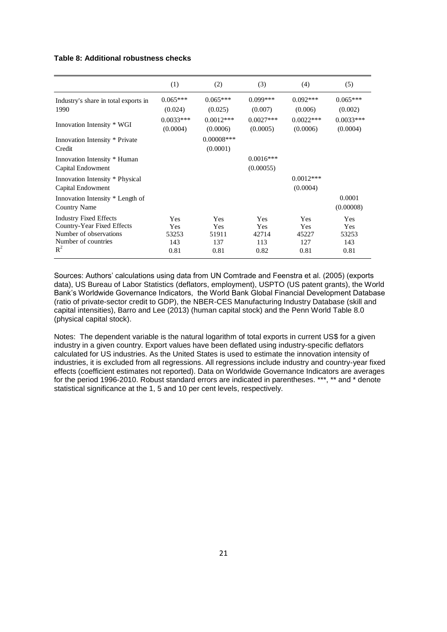#### **Table 8: Additional robustness checks**

|                                                                                                                       | (1)                                       | (2)                                       | (3)                                              | (4)                                | (5)                                       |
|-----------------------------------------------------------------------------------------------------------------------|-------------------------------------------|-------------------------------------------|--------------------------------------------------|------------------------------------|-------------------------------------------|
| Industry's share in total exports in<br>1990                                                                          | $0.065***$<br>(0.024)                     | $0.065***$<br>(0.025)                     | $0.099***$<br>(0.007)                            | $0.092***$<br>(0.006)              | $0.065***$<br>(0.002)                     |
| Innovation Intensity * WGI                                                                                            | $0.0033***$<br>(0.0004)                   | $0.0012***$<br>(0.0006)                   | $0.0027***$<br>(0.0005)                          | $0.0022***$<br>(0.0006)            | $0.0033***$<br>(0.0004)                   |
| Innovation Intensity * Private<br>Credit                                                                              |                                           | $0.00008$ ***<br>(0.0001)                 |                                                  |                                    |                                           |
| Innovation Intensity * Human<br>Capital Endowment                                                                     |                                           |                                           | $0.0016***$<br>(0.00055)                         |                                    |                                           |
| Innovation Intensity * Physical<br>Capital Endowment                                                                  |                                           |                                           |                                                  | $0.0012***$<br>(0.0004)            |                                           |
| Innovation Intensity * Length of<br>Country Name                                                                      |                                           |                                           |                                                  |                                    | 0.0001<br>(0.00008)                       |
| <b>Industry Fixed Effects</b><br>Country-Year Fixed Effects<br>Number of observations<br>Number of countries<br>$R^2$ | Yes<br><b>Yes</b><br>53253<br>143<br>0.81 | Yes<br><b>Yes</b><br>51911<br>137<br>0.81 | <b>Yes</b><br><b>Yes</b><br>42714<br>113<br>0.82 | Yes<br>Yes<br>45227<br>127<br>0.81 | Yes<br><b>Yes</b><br>53253<br>143<br>0.81 |

Sources: Authors' calculations using data from UN Comtrade and Feenstra et al. (2005) (exports data), US Bureau of Labor Statistics (deflators, employment), USPTO (US patent grants), the World Bank's Worldwide Governance Indicators, the World Bank Global Financial Development Database (ratio of private-sector credit to GDP), the NBER-CES Manufacturing Industry Database (skill and capital intensities), Barro and Lee (2013) (human capital stock) and the Penn World Table 8.0 (physical capital stock).

Notes: The dependent variable is the natural logarithm of total exports in current US\$ for a given industry in a given country. Export values have been deflated using industry-specific deflators calculated for US industries. As the United States is used to estimate the innovation intensity of industries, it is excluded from all regressions. All regressions include industry and country-year fixed effects (coefficient estimates not reported). Data on Worldwide Governance Indicators are averages for the period 1996-2010. Robust standard errors are indicated in parentheses. \*\*\*, \*\* and \* denote statistical significance at the 1, 5 and 10 per cent levels, respectively.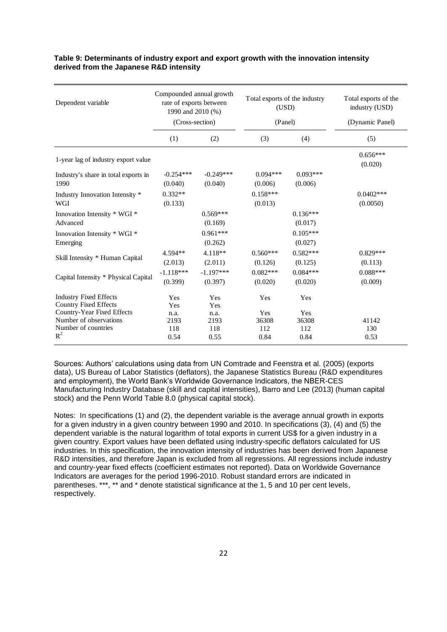| Compounded annual growth<br>rate of exports between<br>1990 and 2010 (%)<br>(Cross-section) |                                              | Total exports of the industry<br>(USD)<br>(Panel) |                       | Total exports of the<br>industry (USD)<br>(Dynamic Panel) |
|---------------------------------------------------------------------------------------------|----------------------------------------------|---------------------------------------------------|-----------------------|-----------------------------------------------------------|
| (1)                                                                                         | (2)                                          | (3)                                               | (4)                   | (5)                                                       |
|                                                                                             |                                              |                                                   |                       | $0.656***$<br>(0.020)                                     |
| $-0.254***$<br>(0.040)                                                                      | $-0.249***$<br>(0.040)                       | $0.094***$<br>(0.006)                             | $0.093***$<br>(0.006) |                                                           |
| $0.332**$<br>(0.133)                                                                        |                                              | $0.158***$<br>(0.013)                             |                       | $0.0402***$<br>(0.0050)                                   |
|                                                                                             | $0.569***$<br>(0.169)                        |                                                   | $0.136***$<br>(0.017) |                                                           |
|                                                                                             | $0.961***$<br>(0.262)                        |                                                   | $0.105***$<br>(0.027) |                                                           |
| 4.594**<br>(2.013)                                                                          | 4.118**<br>(2.011)                           | $0.560***$<br>(0.126)                             | $0.582***$<br>(0.125) | $0.829***$<br>(0.113)                                     |
| $-1.118***$<br>(0.399)                                                                      | $-1.197***$<br>(0.397)                       | $0.082***$<br>(0.020)                             | $0.084***$<br>(0.020) | $0.088***$<br>(0.009)                                     |
| Yes<br>Yes                                                                                  | Yes<br>Yes                                   | Yes                                               | Yes                   |                                                           |
| n.a.<br>2193<br>118                                                                         | n.a.<br>2193<br>118                          | Yes<br>36308<br>112                               | Yes<br>36308<br>112   | 41142<br>130<br>0.53                                      |
|                                                                                             | Capital Intensity * Physical Capital<br>0.54 | 0.55                                              | 0.84                  | 0.84                                                      |

#### **Table 9: Determinants of industry export and export growth with the innovation intensity derived from the Japanese R&D intensity**

Sources: Authors' calculations using data from UN Comtrade and Feenstra et al. (2005) (exports data), US Bureau of Labor Statistics (deflators), the Japanese Statistics Bureau (R&D expenditures and employment), the World Bank's Worldwide Governance Indicators, the NBER-CES Manufacturing Industry Database (skill and capital intensities), Barro and Lee (2013) (human capital stock) and the Penn World Table 8.0 (physical capital stock).

Notes: In specifications (1) and (2), the dependent variable is the average annual growth in exports for a given industry in a given country between 1990 and 2010. In specifications (3), (4) and (5) the dependent variable is the natural logarithm of total exports in current US\$ for a given industry in a given country. Export values have been deflated using industry-specific deflators calculated for US industries. In this specification, the innovation intensity of industries has been derived from Japanese R&D intensities, and therefore Japan is excluded from all regressions. All regressions include industry and country-year fixed effects (coefficient estimates not reported). Data on Worldwide Governance Indicators are averages for the period 1996-2010. Robust standard errors are indicated in parentheses. \*\*\*, \*\* and \* denote statistical significance at the 1, 5 and 10 per cent levels, respectively.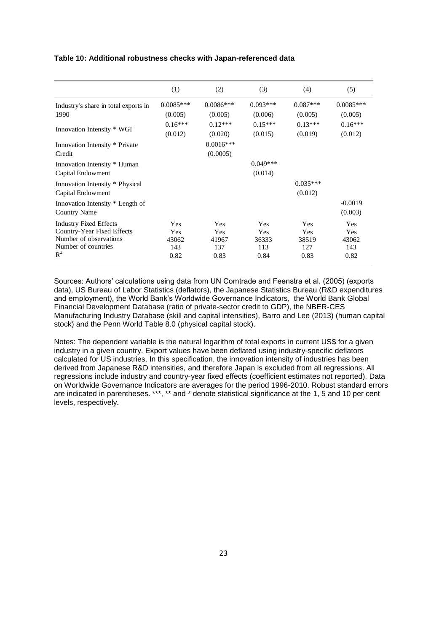#### **Table 10: Additional robustness checks with Japan-referenced data**

|                                                                                                                       | (1)                                              | (2)                                       | (3)                                       | (4)                                       | (5)                                       |
|-----------------------------------------------------------------------------------------------------------------------|--------------------------------------------------|-------------------------------------------|-------------------------------------------|-------------------------------------------|-------------------------------------------|
| Industry's share in total exports in<br>1990                                                                          | $0.0085***$<br>(0.005)                           | $0.0086***$<br>(0.005)                    | $0.093***$<br>(0.006)                     | $0.087***$<br>(0.005)                     | $0.0085***$<br>(0.005)                    |
| Innovation Intensity * WGI                                                                                            | $0.16***$<br>(0.012)                             | $0.12***$<br>(0.020)                      | $0.15***$<br>(0.015)                      | $0.13***$<br>(0.019)                      | $0.16***$<br>(0.012)                      |
| Innovation Intensity * Private<br>Credit                                                                              |                                                  | $0.0016***$<br>(0.0005)                   |                                           |                                           |                                           |
| Innovation Intensity * Human<br>Capital Endowment                                                                     |                                                  |                                           | $0.049***$<br>(0.014)                     |                                           |                                           |
| Innovation Intensity * Physical<br>Capital Endowment                                                                  |                                                  |                                           |                                           | $0.035***$<br>(0.012)                     |                                           |
| Innovation Intensity * Length of<br><b>Country Name</b>                                                               |                                                  |                                           |                                           |                                           | $-0.0019$<br>(0.003)                      |
| <b>Industry Fixed Effects</b><br>Country-Year Fixed Effects<br>Number of observations<br>Number of countries<br>$R^2$ | <b>Yes</b><br><b>Yes</b><br>43062<br>143<br>0.82 | <b>Yes</b><br>Yes<br>41967<br>137<br>0.83 | <b>Yes</b><br>Yes<br>36333<br>113<br>0.84 | <b>Yes</b><br>Yes<br>38519<br>127<br>0.83 | <b>Yes</b><br>Yes<br>43062<br>143<br>0.82 |

Sources: Authors' calculations using data from UN Comtrade and Feenstra et al. (2005) (exports data), US Bureau of Labor Statistics (deflators), the Japanese Statistics Bureau (R&D expenditures and employment), the World Bank's Worldwide Governance Indicators, the World Bank Global Financial Development Database (ratio of private-sector credit to GDP), the NBER-CES Manufacturing Industry Database (skill and capital intensities), Barro and Lee (2013) (human capital stock) and the Penn World Table 8.0 (physical capital stock).

Notes: The dependent variable is the natural logarithm of total exports in current US\$ for a given industry in a given country. Export values have been deflated using industry-specific deflators calculated for US industries. In this specification, the innovation intensity of industries has been derived from Japanese R&D intensities, and therefore Japan is excluded from all regressions. All regressions include industry and country-year fixed effects (coefficient estimates not reported). Data on Worldwide Governance Indicators are averages for the period 1996-2010. Robust standard errors are indicated in parentheses. \*\*\*, \*\* and \* denote statistical significance at the 1, 5 and 10 per cent levels, respectively.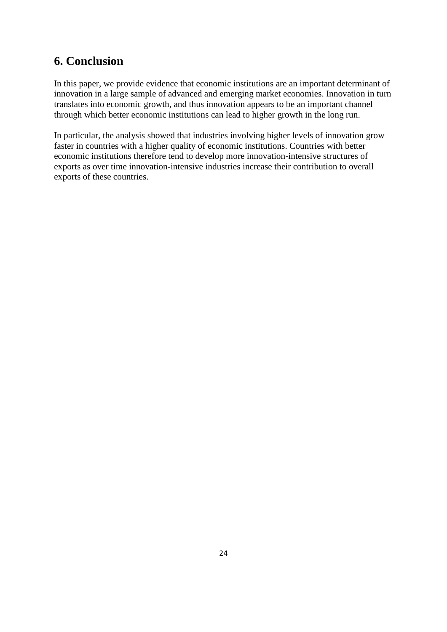# **6. Conclusion**

In this paper, we provide evidence that economic institutions are an important determinant of innovation in a large sample of advanced and emerging market economies. Innovation in turn translates into economic growth, and thus innovation appears to be an important channel through which better economic institutions can lead to higher growth in the long run.

In particular, the analysis showed that industries involving higher levels of innovation grow faster in countries with a higher quality of economic institutions. Countries with better economic institutions therefore tend to develop more innovation-intensive structures of exports as over time innovation-intensive industries increase their contribution to overall exports of these countries.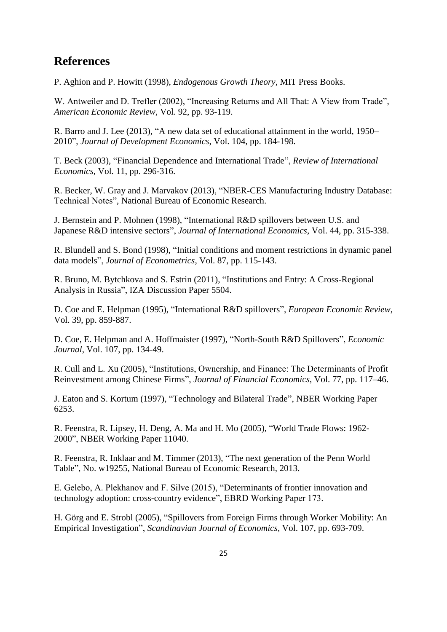# **References**

P. Aghion and P. Howitt (1998), *Endogenous Growth Theory*, MIT Press Books.

W. Antweiler and D. Trefler (2002), "Increasing Returns and All That: A View from Trade", *American Economic Review,* Vol. 92, pp. 93-119.

R. Barro and J. Lee (2013), "A new data set of educational attainment in the world, 1950– 2010", *Journal of Development Economics*, Vol. 104, pp. 184-198.

T. Beck (2003), "Financial Dependence and International Trade", *Review of International Economics*, Vol. 11, pp. 296-316.

R. Becker, W. Gray and J. Marvakov (2013), "NBER-CES Manufacturing Industry Database: Technical Notes", National Bureau of Economic Research.

J. Bernstein and P. Mohnen (1998), "International R&D spillovers between U.S. and Japanese R&D intensive sectors", *Journal of International Economics*, Vol. 44, pp. 315-338.

R. Blundell and S. Bond (1998), "Initial conditions and moment restrictions in dynamic panel data models", *Journal of Econometrics*, Vol. 87, pp. 115-143.

R. Bruno, M. Bytchkova and S. Estrin (2011), "Institutions and Entry: A Cross-Regional Analysis in Russia", IZA Discussion Paper 5504.

D. Coe and E. Helpman (1995), "International R&D spillovers", *European Economic Review*, Vol. 39, pp. 859-887.

D. Coe, E. Helpman and A. Hoffmaister (1997), "North-South R&D Spillovers", *Economic Journal*, Vol. 107, pp. 134-49.

R. Cull and L. Xu (2005), "Institutions, Ownership, and Finance: The Determinants of Profit Reinvestment among Chinese Firms", *Journal of Financial Economics*, Vol. 77, pp. 117–46.

J. Eaton and S. Kortum (1997), "Technology and Bilateral Trade", NBER Working Paper 6253.

R. Feenstra, R. Lipsey, H. Deng, A. Ma and H. Mo (2005), "World Trade Flows: 1962- 2000", NBER Working Paper 11040.

R. Feenstra, R. Inklaar and M. Timmer (2013), "The next generation of the Penn World Table", No. w19255, National Bureau of Economic Research, 2013.

E. Gelebo, A. Plekhanov and F. Silve (2015), "Determinants of frontier innovation and technology adoption: cross-country evidence", EBRD Working Paper 173.

H. Görg and E. Strobl (2005), "Spillovers from Foreign Firms through Worker Mobility: An Empirical Investigation", *Scandinavian Journal of Economics*, Vol. 107, pp. 693-709.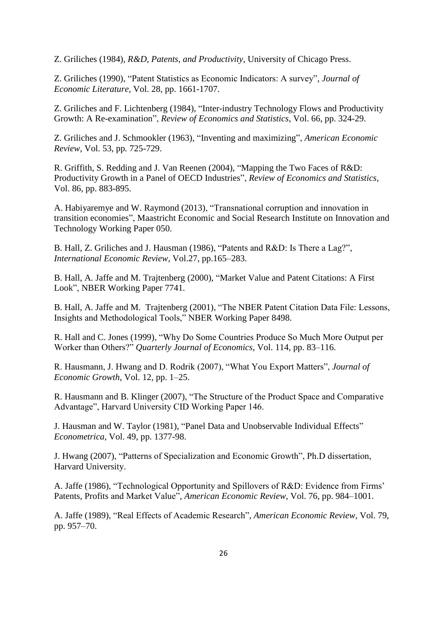Z. Griliches (1984), *R&D, Patents, and Productivity*, University of Chicago Press.

Z. Griliches (1990), "Patent Statistics as Economic Indicators: A survey", *Journal of Economic Literature,* Vol. 28, pp. 1661-1707.

Z. Griliches and F. Lichtenberg (1984), "Inter-industry Technology Flows and Productivity Growth: A Re-examination", *Review of Economics and Statistics*, Vol. 66, pp. 324-29.

Z. Griliches and J. Schmookler (1963), "Inventing and maximizing", *American Economic Review,* Vol. 53, pp*.* 725-729.

R. Griffith, S. Redding and J. Van Reenen (2004), "Mapping the Two Faces of R&D: Productivity Growth in a Panel of OECD Industries", *Review of Economics and Statistics*, Vol. 86, pp. 883-895.

A. Habiyaremye and W. Raymond (2013), "Transnational corruption and innovation in transition economies", Maastricht Economic and Social Research Institute on Innovation and Technology Working Paper 050.

B. Hall, Z. Griliches and J. Hausman (1986), "Patents and R&D: Is There a Lag?", *International Economic Review*, Vol.27, pp.165–283.

B. Hall, A. Jaffe and M. Trajtenberg (2000), "Market Value and Patent Citations: A First Look", NBER Working Paper 7741.

B. Hall, A. Jaffe and M. Trajtenberg (2001), "The NBER Patent Citation Data File: Lessons, Insights and Methodological Tools," NBER Working Paper 8498.

R. Hall and C. Jones (1999), "Why Do Some Countries Produce So Much More Output per Worker than Others?" *Quarterly Journal of Economics*, Vol. 114, pp. 83–116.

R. Hausmann, J. Hwang and D. Rodrik (2007), "What You Export Matters", *Journal of Economic Growth*, Vol. 12, pp. 1–25.

R. Hausmann and B. Klinger (2007), "The Structure of the Product Space and Comparative Advantage", Harvard University CID Working Paper 146.

J. Hausman and W. Taylor (1981), "Panel Data and Unobservable Individual Effects" *Econometrica*, Vol. 49, pp. 1377-98.

J. Hwang (2007), "Patterns of Specialization and Economic Growth", Ph.D dissertation, Harvard University.

A. Jaffe (1986), "Technological Opportunity and Spillovers of R&D: Evidence from Firms' Patents, Profits and Market Value", *American Economic Review*, Vol. 76, pp. 984–1001.

A. Jaffe (1989), "Real Effects of Academic Research", *American Economic Review*, Vol. 79, pp. 957–70.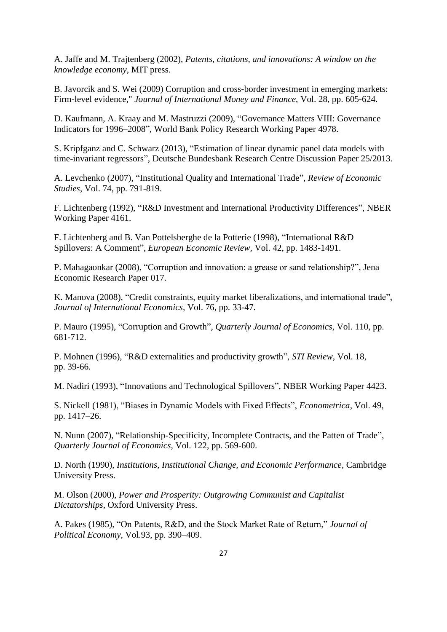A. Jaffe and M. Trajtenberg (2002), *Patents, citations, and innovations: A window on the knowledge economy*, MIT press.

B. Javorcik and S. Wei (2009) [Corruption and cross-border investment in emerging markets:](http://ideas.repec.org/a/eee/jimfin/v28y2009i4p605-624.html)  [Firm-level evidence,](http://ideas.repec.org/a/eee/jimfin/v28y2009i4p605-624.html)" *Journal of International Money and Finance*, Vol. 28, pp. 605-624.

D. Kaufmann, A. Kraay and M. Mastruzzi (2009), "Governance Matters VIII: Governance Indicators for 1996–2008", World Bank Policy Research Working Paper 4978.

S. Kripfganz and C. Schwarz (2013), "Estimation of linear dynamic panel data models with time-invariant regressors", Deutsche Bundesbank Research Centre Discussion Paper 25/2013.

A. Levchenko (2007), "Institutional Quality and International Trade", *Review of Economic Studies*, Vol. 74, pp. 791-819.

F. Lichtenberg (1992), "R&D Investment and International Productivity Differences", NBER Working Paper 4161.

F. Lichtenberg and B. Van Pottelsberghe de la Potterie (1998), "International R&D Spillovers: A Comment", *European Economic Review,* Vol. 42, pp. 1483-1491.

P. Mahagaonkar (2008), "Corruption and innovation: a grease or sand relationship?", Jena Economic Research Paper 017.

K. Manova (2008), "Credit constraints, equity market liberalizations, and international trade", *Journal of International Economics,* Vol. 76, pp. 33-47.

P. Mauro (1995), "Corruption and Growth", *Quarterly Journal of Economics*, Vol. 110, pp. 681-712.

P. Mohnen (1996), "R&D externalities and productivity growth", *STI Review*, Vol. 18, pp. 39-66.

M. Nadiri (1993), "Innovations and Technological Spillovers", NBER Working Paper 4423.

S. Nickell (1981), "Biases in Dynamic Models with Fixed Effects", *Econometrica*, Vol. 49, pp. 1417–26.

N. Nunn (2007), "Relationship-Specificity, Incomplete Contracts, and the Patten of Trade", *Quarterly Journal of Economics*, Vol. 122, pp. 569-600.

D. North (1990), *Institutions, Institutional Change, and Economic Performance*, Cambridge University Press.

M. Olson (2000), *Power and Prosperity: Outgrowing Communist and Capitalist Dictatorships*, Oxford University Press.

A. Pakes (1985), "On Patents, R&D, and the Stock Market Rate of Return," *Journal of Political Economy*, Vol.93, pp. 390–409.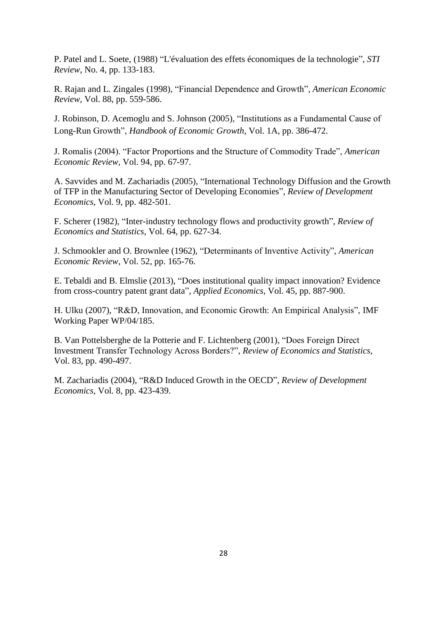P. Patel and L. Soete, (1988) "L'évaluation des effets économiques de la technologie", *STI Review*, No. 4, pp. 133-183.

R. Rajan and L. Zingales (1998), "Financial Dependence and Growth", *American Economic Review,* Vol. 88, pp. 559-586.

J. Robinson, D. Acemoglu and S. Johnson (2005), "Institutions as a Fundamental Cause of Long-Run Growth", *Handbook of Economic Growth*, Vol. 1A, pp. 386-472.

J. Romalis (2004). "Factor Proportions and the Structure of Commodity Trade", *American Economic Review,* Vol. 94, pp. 67-97.

A. Savvides and M. Zachariadis (2005), "International Technology Diffusion and the Growth of TFP in the Manufacturing Sector of Developing Economies", *Review of Development Economics*, Vol. 9, pp. 482-501.

F. Scherer (1982), "Inter-industry technology flows and productivity growth", *Review of Economics and Statistics*, Vol. 64, pp. 627-34.

J. Schmookler and O. Brownlee (1962), "Determinants of Inventive Activity", *American Economic Review*, Vol. 52, pp. 165-76.

E. Tebaldi and B. Elmslie (2013), "Does institutional quality impact innovation? Evidence from cross-country patent grant data", *Applied Economics*, Vol. 45, pp. 887-900.

H. Ulku (2007), "R&D, Innovation, and Economic Growth: An Empirical Analysis", IMF Working Paper WP/04/185.

B. Van Pottelsberghe de la Potterie and F. Lichtenberg (2001), "Does Foreign Direct Investment Transfer Technology Across Borders?", *Review of Economics and Statistics,* Vol. 83, pp. 490-497.

M. Zachariadis (2004), "R&D Induced Growth in the OECD", *Review of Development Economics*, Vol. 8, pp. 423-439.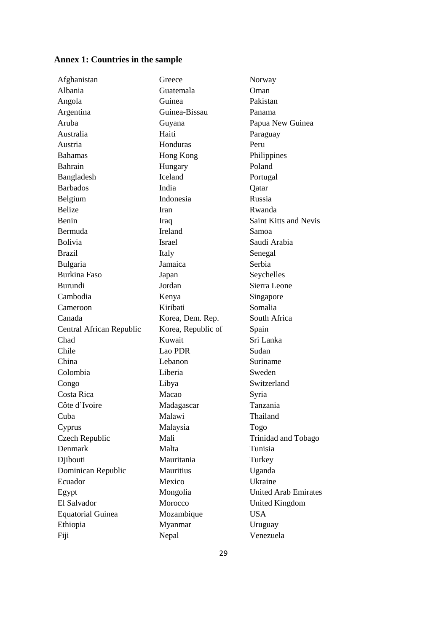# **Annex 1: Countries in the sample**

| Afghanistan              | Greece             | Norway                      |
|--------------------------|--------------------|-----------------------------|
| Albania                  | Guatemala          | Oman                        |
| Angola                   | Guinea             | Pakistan                    |
| Argentina                | Guinea-Bissau      | Panama                      |
| Aruba                    | Guyana             | Papua New Guinea            |
| Australia                | Haiti              | Paraguay                    |
| Austria                  | Honduras           | Peru                        |
| <b>Bahamas</b>           | Hong Kong          | Philippines                 |
| Bahrain                  | Hungary            | Poland                      |
| Bangladesh               | Iceland            | Portugal                    |
| <b>Barbados</b>          | India              | Qatar                       |
| Belgium                  | Indonesia          | Russia                      |
| <b>Belize</b>            | Iran               | Rwanda                      |
| Benin                    | Iraq               | Saint Kitts and Nevis       |
| Bermuda                  | Ireland            | Samoa                       |
| <b>Bolivia</b>           | <b>Israel</b>      | Saudi Arabia                |
| <b>Brazil</b>            | Italy              | Senegal                     |
| Bulgaria                 | Jamaica            | Serbia                      |
| <b>Burkina Faso</b>      | Japan              | Seychelles                  |
| <b>Burundi</b>           | Jordan             | Sierra Leone                |
| Cambodia                 | Kenya              | Singapore                   |
| Cameroon                 | Kiribati           | Somalia                     |
| Canada                   | Korea, Dem. Rep.   | South Africa                |
| Central African Republic | Korea, Republic of | Spain                       |
| Chad                     | Kuwait             | Sri Lanka                   |
| Chile                    | Lao PDR            | Sudan                       |
| China                    | Lebanon            | Suriname                    |
| Colombia                 | Liberia            | Sweden                      |
| Congo                    | Libya              | Switzerland                 |
| Costa Rica               | Macao              | Syria                       |
| Côte d'Ivoire            | Madagascar         | Tanzania                    |
| Cuba                     | Malawi             | Thailand                    |
| Cyprus                   | Malaysia           | Togo                        |
| Czech Republic           | Mali               | Trinidad and Tobago         |
| Denmark                  | Malta              | Tunisia                     |
| Djibouti                 | Mauritania         | Turkey                      |
| Dominican Republic       | Mauritius          | Uganda                      |
| Ecuador                  | Mexico             | Ukraine                     |
| Egypt                    | Mongolia           | <b>United Arab Emirates</b> |
| El Salvador              | Morocco            | <b>United Kingdom</b>       |
| <b>Equatorial Guinea</b> | Mozambique         | <b>USA</b>                  |
| Ethiopia                 | Myanmar            | Uruguay                     |
| Fiji                     | Nepal              | Venezuela                   |